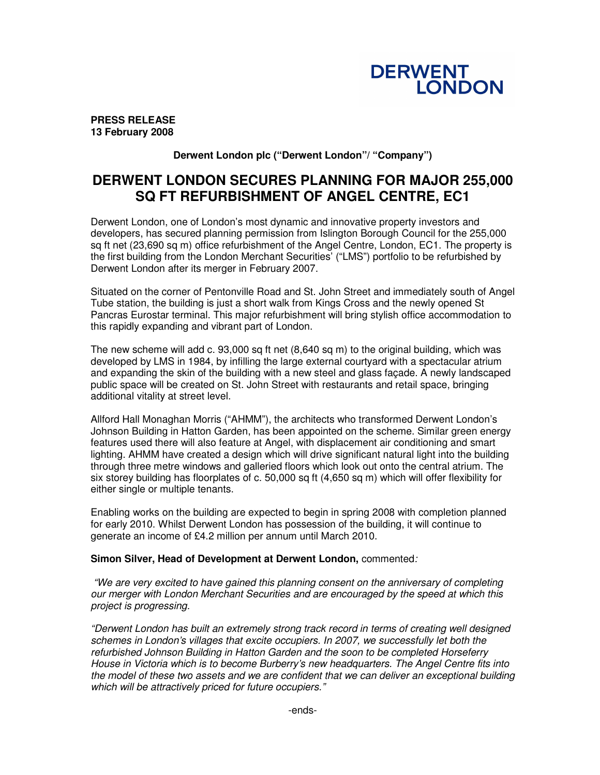

**PRESS RELEASE 13 February 2008**

### **Derwent London plc ("Derwent London"/ "Company")**

# **DERWENT LONDON SECURES PLANNING FOR MAJOR 255,000 SQ FT REFURBISHMENT OF ANGEL CENTRE, EC1**

Derwent London, one of London's most dynamic and innovative property investors and developers, has secured planning permission from Islington Borough Council for the 255,000 sq ft net (23,690 sq m) office refurbishment of the Angel Centre, London, EC1. The property is the first building from the London Merchant Securities' ("LMS") portfolio to be refurbished by Derwent London after its merger in February 2007.

Situated on the corner of Pentonville Road and St. John Street and immediately south of Angel Tube station, the building is just a short walk from Kings Cross and the newly opened St Pancras Eurostar terminal. This major refurbishment will bring stylish office accommodation to this rapidly expanding and vibrant part of London.

The new scheme will add c. 93,000 sq ft net (8,640 sq m) to the original building, which was developed by LMS in 1984, by infilling the large external courtyard with a spectacular atrium and expanding the skin of the building with a new steel and glass façade. A newly landscaped public space will be created on St. John Street with restaurants and retail space, bringing additional vitality at street level.

Allford Hall Monaghan Morris ("AHMM"), the architects who transformed Derwent London's Johnson Building in Hatton Garden, has been appointed on the scheme. Similar green energy features used there will also feature at Angel, with displacement air conditioning and smart lighting. AHMM have created a design which will drive significant natural light into the building through three metre windows and galleried floors which look out onto the central atrium. The six storey building has floorplates of c. 50,000 sq ft (4,650 sq m) which will offer flexibility for either single or multiple tenants.

Enabling works on the building are expected to begin in spring 2008 with completion planned for early 2010. Whilst Derwent London has possession of the building, it will continue to generate an income of £4.2 million per annum until March 2010.

#### **Simon Silver, Head of Development at Derwent London,** commented*:*

*"We are very excited to have gained this planning consent on the anniversary of completing our merger with London Merchant Securities and are encouraged by the speed at which this project is progressing.*

*"Derwent London has built an extremely strong track record in terms of creating well designed schemes in London's villages that excite occupiers. In 2007, we successfully let both the refurbished Johnson Building in Hatton Garden and the soon to be completed Horseferry House in Victoria which is to become Burberry's new headquarters. The Angel Centre fits into the model of these two assets and we are confident that we can deliver an exceptional building which will be attractively priced for future occupiers."*